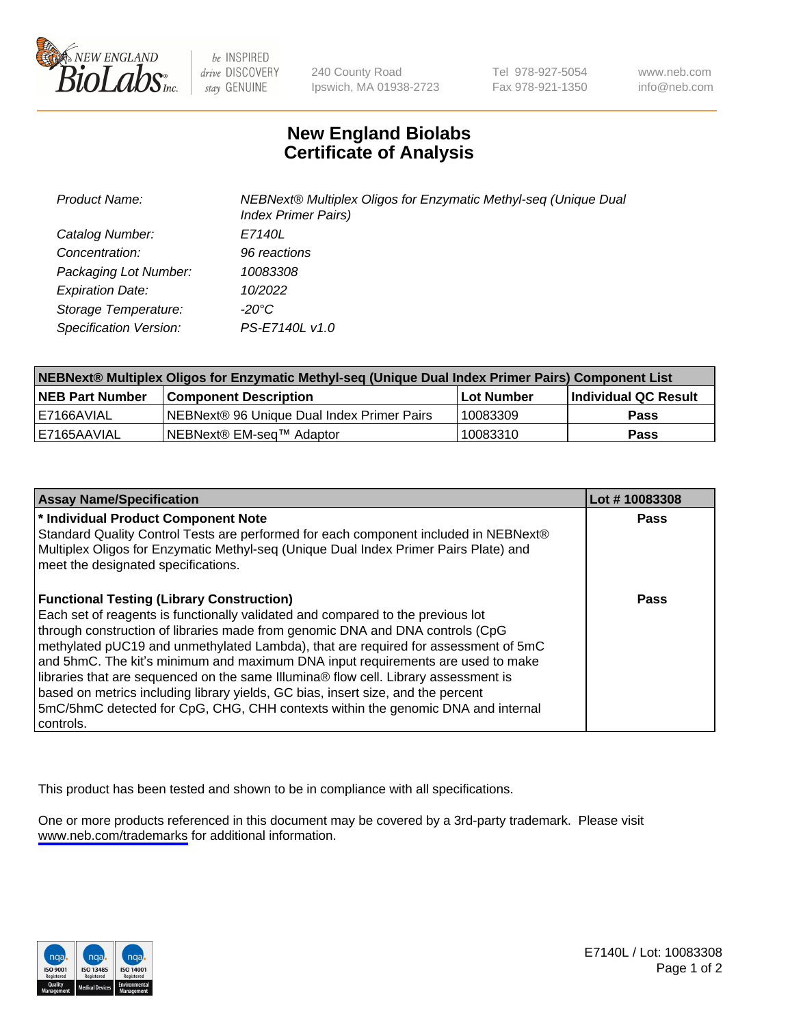

be INSPIRED drive DISCOVERY stay GENUINE

240 County Road Ipswich, MA 01938-2723 Tel 978-927-5054 Fax 978-921-1350

www.neb.com info@neb.com

## **New England Biolabs Certificate of Analysis**

| <b>Product Name:</b>    | NEBNext® Multiplex Oligos for Enzymatic Methyl-seq (Unique Dual<br><b>Index Primer Pairs)</b> |
|-------------------------|-----------------------------------------------------------------------------------------------|
| Catalog Number:         | E7140L                                                                                        |
| Concentration:          | 96 reactions                                                                                  |
| Packaging Lot Number:   | 10083308                                                                                      |
| <b>Expiration Date:</b> | 10/2022                                                                                       |
| Storage Temperature:    | -20°C                                                                                         |
| Specification Version:  | PS-E7140L v1.0                                                                                |

| NEBNext® Multiplex Oligos for Enzymatic Methyl-seq (Unique Dual Index Primer Pairs) Component List |                                                   |              |                      |  |
|----------------------------------------------------------------------------------------------------|---------------------------------------------------|--------------|----------------------|--|
| <b>NEB Part Number</b>                                                                             | <b>Component Description</b>                      | l Lot Number | Individual QC Result |  |
| I E7166AVIAL                                                                                       | <b>NEBNext® 96 Unique Dual Index Primer Pairs</b> | 10083309     | Pass                 |  |
| I E7165AAVIAL                                                                                      | NEBNext® EM-seq™ Adaptor                          | 10083310     | <b>Pass</b>          |  |

| <b>Assay Name/Specification</b>                                                                                                                                                                                                                                                                                                                                                                                                                                                                                                                                                                                                                                             | Lot #10083308 |
|-----------------------------------------------------------------------------------------------------------------------------------------------------------------------------------------------------------------------------------------------------------------------------------------------------------------------------------------------------------------------------------------------------------------------------------------------------------------------------------------------------------------------------------------------------------------------------------------------------------------------------------------------------------------------------|---------------|
| * Individual Product Component Note<br>Standard Quality Control Tests are performed for each component included in NEBNext®<br>Multiplex Oligos for Enzymatic Methyl-seq (Unique Dual Index Primer Pairs Plate) and<br>meet the designated specifications.                                                                                                                                                                                                                                                                                                                                                                                                                  | Pass          |
| <b>Functional Testing (Library Construction)</b><br>Each set of reagents is functionally validated and compared to the previous lot<br>through construction of libraries made from genomic DNA and DNA controls (CpG<br>methylated pUC19 and unmethylated Lambda), that are required for assessment of 5mC<br>and 5hmC. The kit's minimum and maximum DNA input requirements are used to make<br>libraries that are sequenced on the same Illumina® flow cell. Library assessment is<br>based on metrics including library yields, GC bias, insert size, and the percent<br>5mC/5hmC detected for CpG, CHG, CHH contexts within the genomic DNA and internal<br>l controls. | Pass          |

This product has been tested and shown to be in compliance with all specifications.

One or more products referenced in this document may be covered by a 3rd-party trademark. Please visit <www.neb.com/trademarks>for additional information.